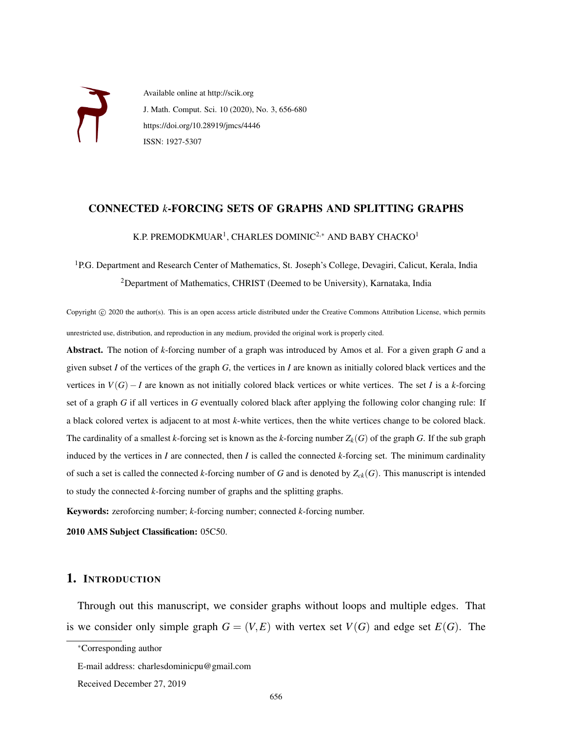

Available online at http://scik.org J. Math. Comput. Sci. 10 (2020), No. 3, 656-680 https://doi.org/10.28919/jmcs/4446 ISSN: 1927-5307

### CONNECTED *k*-FORCING SETS OF GRAPHS AND SPLITTING GRAPHS

K.P. PREMODKMUAR<sup>1</sup>, CHARLES DOMINIC<sup>2,\*</sup> AND BABY CHACKO<sup>1</sup>

# <sup>1</sup>P.G. Department and Research Center of Mathematics, St. Joseph's College, Devagiri, Calicut, Kerala, India <sup>2</sup>Department of Mathematics, CHRIST (Deemed to be University), Karnataka, India

Copyright © 2020 the author(s). This is an open access article distributed under the Creative Commons Attribution License, which permits unrestricted use, distribution, and reproduction in any medium, provided the original work is properly cited.

Abstract. The notion of *k*-forcing number of a graph was introduced by Amos et al. For a given graph *G* and a given subset *I* of the vertices of the graph *G*, the vertices in *I* are known as initially colored black vertices and the vertices in  $V(G) - I$  are known as not initially colored black vertices or white vertices. The set *I* is a *k*-forcing set of a graph *G* if all vertices in *G* eventually colored black after applying the following color changing rule: If a black colored vertex is adjacent to at most *k*-white vertices, then the white vertices change to be colored black. The cardinality of a smallest *k*-forcing set is known as the *k*-forcing number  $Z_k(G)$  of the graph G. If the sub graph induced by the vertices in *I* are connected, then *I* is called the connected *k*-forcing set. The minimum cardinality of such a set is called the connected *k*-forcing number of *G* and is denoted by  $Z_{ck}(G)$ . This manuscript is intended to study the connected *k*-forcing number of graphs and the splitting graphs.

Keywords: zeroforcing number; *k*-forcing number; connected *k*-forcing number.

2010 AMS Subject Classification: 05C50.

# 1. INTRODUCTION

Through out this manuscript, we consider graphs without loops and multiple edges. That is we consider only simple graph  $G = (V, E)$  with vertex set  $V(G)$  and edge set  $E(G)$ . The

<sup>∗</sup>Corresponding author

E-mail address: charlesdominicpu@gmail.com

Received December 27, 2019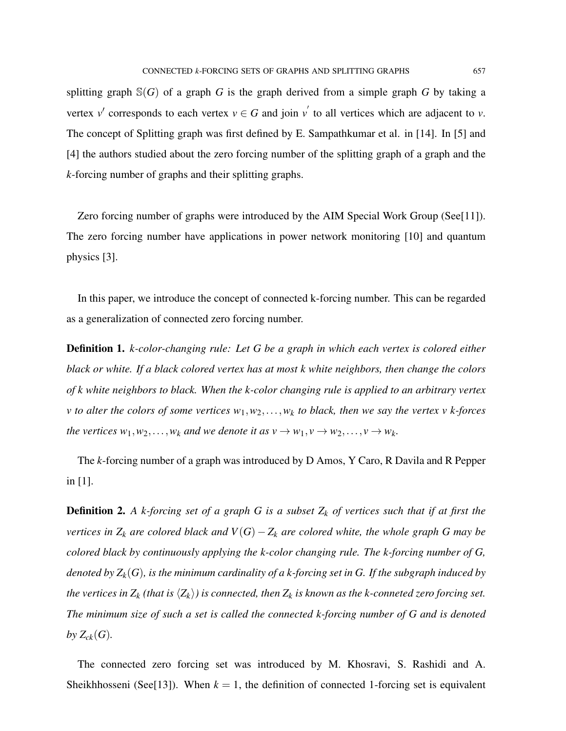splitting graph  $\mathbb{S}(G)$  of a graph *G* is the graph derived from a simple graph *G* by taking a vertex  $v'$  corresponds to each vertex  $v \in G$  and join  $v'$  to all vertices which are adjacent to  $v$ . The concept of Splitting graph was first defined by E. Sampathkumar et al. in [14]. In [5] and [4] the authors studied about the zero forcing number of the splitting graph of a graph and the *k*-forcing number of graphs and their splitting graphs.

Zero forcing number of graphs were introduced by the AIM Special Work Group (See[11]). The zero forcing number have applications in power network monitoring [10] and quantum physics [3].

In this paper, we introduce the concept of connected k-forcing number. This can be regarded as a generalization of connected zero forcing number.

Definition 1. *k-color-changing rule: Let G be a graph in which each vertex is colored either black or white. If a black colored vertex has at most k white neighbors, then change the colors of k white neighbors to black. When the k-color changing rule is applied to an arbitrary vertex v to alter the colors of some vertices w*1,*w*2,...,*w<sup>k</sup> to black, then we say the vertex v k-forces the vertices*  $w_1, w_2, \ldots, w_k$  *and we denote it as*  $v \to w_1, v \to w_2, \ldots, v \to w_k$ .

The *k*-forcing number of a graph was introduced by D Amos, Y Caro, R Davila and R Pepper in [1].

Definition 2. *A k-forcing set of a graph G is a subset Z<sup>k</sup> of vertices such that if at first the vertices in*  $Z_k$  *are colored black and*  $V(G) - Z_k$  *are colored white, the whole graph* G *may be colored black by continuously applying the k-color changing rule. The k-forcing number of G, denoted by Zk*(*G*)*, is the minimum cardinality of a k-forcing set in G. If the subgraph induced by the vertices in*  $Z_k$  *(that is*  $\langle Z_k \rangle$ *) is connected, then*  $Z_k$  *is known as the k-conneted zero forcing set. The minimum size of such a set is called the connected k-forcing number of G and is denoted* by  $Z_{ck}(G)$ .

The connected zero forcing set was introduced by M. Khosravi, S. Rashidi and A. Sheikhhosseni (See[13]). When  $k = 1$ , the definition of connected 1-forcing set is equivalent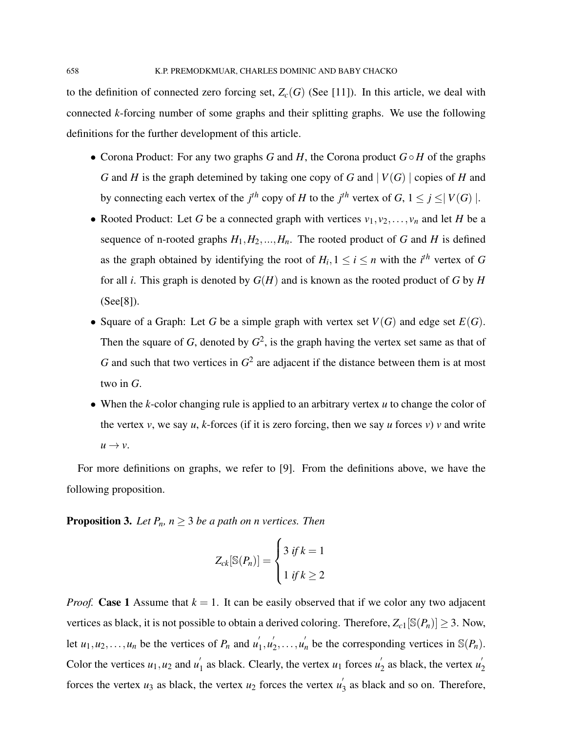to the definition of connected zero forcing set,  $Z_c(G)$  (See [11]). In this article, we deal with connected *k*-forcing number of some graphs and their splitting graphs. We use the following definitions for the further development of this article.

- Corona Product: For any two graphs *G* and *H*, the Corona product *G H* of the graphs *G* and *H* is the graph detemined by taking one copy of *G* and | *V*(*G*) | copies of *H* and by connecting each vertex of the *j*<sup>th</sup> copy of *H* to the *j*<sup>th</sup> vertex of *G*,  $1 \le j \le |V(G)|$ .
- Rooted Product: Let *G* be a connected graph with vertices  $v_1, v_2, \ldots, v_n$  and let *H* be a sequence of n-rooted graphs  $H_1, H_2, ..., H_n$ . The rooted product of *G* and *H* is defined as the graph obtained by identifying the root of  $H_i$ ,  $1 \le i \le n$  with the *i*<sup>th</sup> vertex of *G* for all *i*. This graph is denoted by *G*(*H*) and is known as the rooted product of *G* by *H* (See[8]).
- Square of a Graph: Let *G* be a simple graph with vertex set  $V(G)$  and edge set  $E(G)$ . Then the square of  $G$ , denoted by  $G^2$ , is the graph having the vertex set same as that of G and such that two vertices in  $G^2$  are adjacent if the distance between them is at most two in *G*.
- When the *k*-color changing rule is applied to an arbitrary vertex *u* to change the color of the vertex  $v$ , we say  $u$ ,  $k$ -forces (if it is zero forcing, then we say  $u$  forces  $v$ )  $v$  and write  $u \rightarrow v$ .

For more definitions on graphs, we refer to [9]. From the definitions above, we have the following proposition.

**Proposition 3.** Let  $P_n$ ,  $n \geq 3$  be a path on *n* vertices. Then

$$
Z_{ck}[\mathbb{S}(P_n)] = \begin{cases} 3 & \text{if } k = 1 \\ 1 & \text{if } k \ge 2 \end{cases}
$$

*Proof.* Case 1 Assume that  $k = 1$ . It can be easily observed that if we color any two adjacent vertices as black, it is not possible to obtain a derived coloring. Therefore,  $Z_{c1}[\mathbb{S}(P_n)] \geq 3$ . Now, let  $u_1, u_2, \ldots, u_n$  be the vertices of  $P_n$  and  $u'_1$  $\frac{1}{1}, \frac{1}{2}$  $\sum_{2}^{\prime}$ ,...,*u*<sup>'</sup><sub>n</sub> be the corresponding vertices in S(*P*<sub>n</sub>). Color the vertices  $u_1, u_2$  and  $u'_1$  $\frac{1}{1}$  as black. Clearly, the vertex  $u_1$  forces  $u_2$  $v_2$ <sup>'</sup> as black, the vertex  $u_2'$ 2 forces the vertex  $u_3$  as black, the vertex  $u_2$  forces the vertex  $u_3$  $\frac{1}{3}$  as black and so on. Therefore,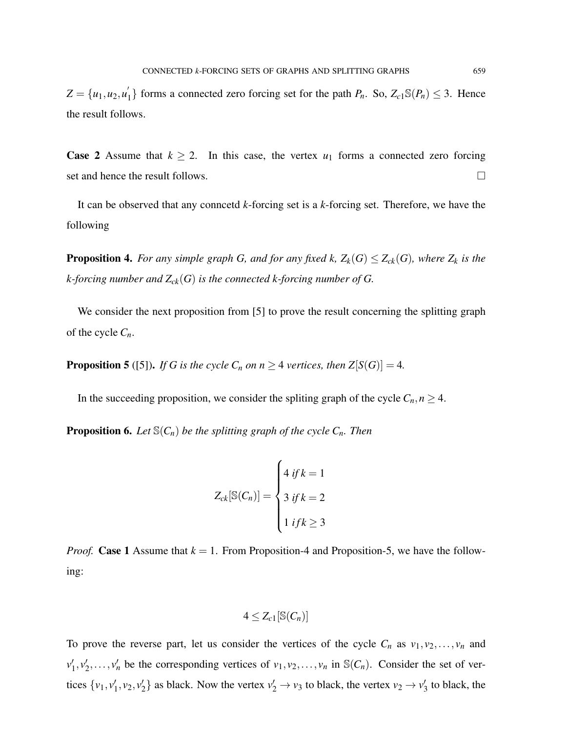$Z = \{u_1, u_2, u_2'\}$  $\binom{1}{1}$  forms a connected zero forcing set for the path  $P_n$ . So,  $Z_{c1}\mathbb{S}(P_n) \leq 3$ . Hence the result follows.

**Case 2** Assume that  $k \ge 2$ . In this case, the vertex  $u_1$  forms a connected zero forcing set and hence the result follows.

It can be observed that any conncetd *k*-forcing set is a *k*-forcing set. Therefore, we have the following

**Proposition 4.** For any simple graph G, and for any fixed k,  $Z_k(G) \leq Z_{ck}(G)$ , where  $Z_k$  is the *k-forcing number and Zck*(*G*) *is the connected k-forcing number of G.*

We consider the next proposition from [5] to prove the result concerning the splitting graph of the cycle  $C_n$ .

**Proposition 5** ([5]). *If G is the cycle*  $C_n$  *on n*  $\geq$  4 *vertices, then*  $Z[S(G)] = 4$ *.* 

In the succeeding proposition, we consider the spliting graph of the cycle  $C_n, n \geq 4$ .

**Proposition 6.** Let  $\mathcal{S}(C_n)$  be the splitting graph of the cycle  $C_n$ . Then

$$
Z_{ck}[\mathbb{S}(C_n)] = \begin{cases} 4 & \text{if } k = 1 \\ 3 & \text{if } k = 2 \\ 1 & \text{if } k \ge 3 \end{cases}
$$

*Proof.* Case 1 Assume that  $k = 1$ . From Proposition-4 and Proposition-5, we have the following:

$$
4\leq Z_{c1}[\mathbb{S}(C_n)]
$$

To prove the reverse part, let us consider the vertices of the cycle  $C_n$  as  $v_1, v_2, \ldots, v_n$  and  $v_1'$  $'_{1}, v'_{2}$  $\nu_1, \nu_2, \ldots, \nu_n$  be the corresponding vertices of  $\nu_1, \nu_2, \ldots, \nu_n$  in  $\mathbb{S}(C_n)$ . Consider the set of vertices  $\{v_1, v'_1\}$  $v'_1, v_2, v'_2$  $\mathbf{v}_2'$  as black. Now the vertex  $v_2' \rightarrow v_3$  to black, the vertex  $v_2 \rightarrow v_3'$  $\frac{7}{3}$  to black, the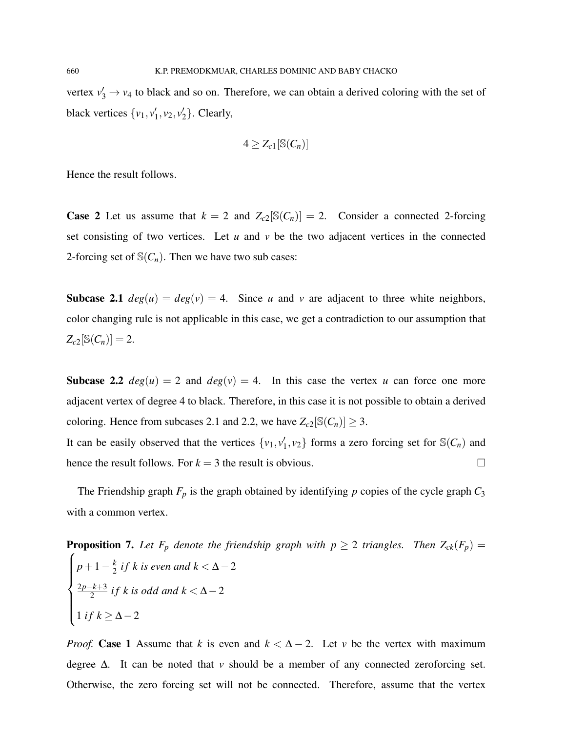vertex  $v_3' \rightarrow v_4$  to black and so on. Therefore, we can obtain a derived coloring with the set of black vertices  $\{v_1, v_1\}$  $v'_1, v_2, v'_2$  $_2'$ . Clearly,

$$
4\geq Z_{c1}[\mathbb{S}(C_n)]
$$

Hence the result follows.

**Case 2** Let us assume that  $k = 2$  and  $Z_{c2}[\mathbb{S}(C_n)] = 2$ . Consider a connected 2-forcing set consisting of two vertices. Let  $u$  and  $v$  be the two adjacent vertices in the connected 2-forcing set of  $\mathcal{S}(C_n)$ . Then we have two sub cases:

**Subcase 2.1**  $deg(u) = deg(v) = 4$ . Since *u* and *v* are adjacent to three white neighbors, color changing rule is not applicable in this case, we get a contradiction to our assumption that  $Z_{c2}[\mathbb{S}(C_n)] = 2.$ 

**Subcase 2.2**  $deg(u) = 2$  and  $deg(v) = 4$ . In this case the vertex *u* can force one more adjacent vertex of degree 4 to black. Therefore, in this case it is not possible to obtain a derived coloring. Hence from subcases 2.1 and 2.2, we have  $Z_{c2}[\mathcal{S}(C_n)] \geq 3$ .

It can be easily observed that the vertices  $\{v_1, v_1\}$  $\{1, v_2\}$  forms a zero forcing set for  $\mathbb{S}(C_n)$  and hence the result follows. For  $k = 3$  the result is obvious.

The Friendship graph  $F_p$  is the graph obtained by identifying  $p$  copies of the cycle graph  $C_3$ with a common vertex.

**Proposition 7.** Let 
$$
F_p
$$
 denote the friendly graph with  $p \ge 2$  triangles. Then  $Z_{ck}(F_p) =$   
\n
$$
\begin{cases}\n p+1-\frac{k}{2} \text{ if } k \text{ is even and } k < \Delta - 2 \\
\frac{2p-k+3}{2} \text{ if } k \text{ is odd and } k < \Delta - 2 \\
1 \text{ if } k \ge \Delta - 2\n \end{cases}
$$

*Proof.* Case 1 Assume that *k* is even and  $k < \Delta - 2$ . Let *v* be the vertex with maximum degree ∆. It can be noted that *v* should be a member of any connected zeroforcing set. Otherwise, the zero forcing set will not be connected. Therefore, assume that the vertex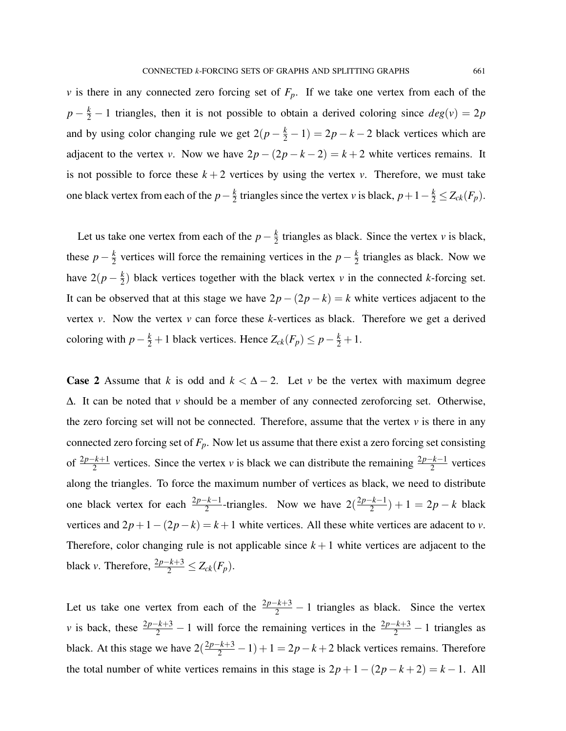*v* is there in any connected zero forcing set of  $F_p$ . If we take one vertex from each of the  $p - \frac{k}{2} - 1$  triangles, then it is not possible to obtain a derived coloring since  $deg(v) = 2p$ and by using color changing rule we get  $2(p - \frac{k}{2} - 1) = 2p - k - 2$  black vertices which are adjacent to the vertex *v*. Now we have  $2p - (2p - k - 2) = k + 2$  white vertices remains. It is not possible to force these  $k + 2$  vertices by using the vertex *v*. Therefore, we must take one black vertex from each of the  $p-\frac{k}{2}$  $\frac{k}{2}$  triangles since the vertex *v* is black,  $p + 1 - \frac{k}{2} \le Z_{ck}(F_p)$ .

Let us take one vertex from each of the  $p-\frac{k}{2}$  $\frac{k}{2}$  triangles as black. Since the vertex *v* is black, these  $p - \frac{k}{2}$  $\frac{k}{2}$  vertices will force the remaining vertices in the *p* −  $\frac{k}{2}$  $\frac{k}{2}$  triangles as black. Now we have  $2(p - \frac{k}{2})$  $\frac{k}{2}$ ) black vertices together with the black vertex *v* in the connected *k*-forcing set. It can be observed that at this stage we have  $2p - (2p - k) = k$  white vertices adjacent to the vertex *v*. Now the vertex *v* can force these *k*-vertices as black. Therefore we get a derived coloring with  $p - \frac{k}{2} + 1$  black vertices. Hence  $Z_{ck}(F_p) \leq p - \frac{k}{2} + 1$ .

**Case 2** Assume that *k* is odd and  $k < \Delta - 2$ . Let *v* be the vertex with maximum degree ∆. It can be noted that *v* should be a member of any connected zeroforcing set. Otherwise, the zero forcing set will not be connected. Therefore, assume that the vertex  $\nu$  is there in any connected zero forcing set of  $F_p$ . Now let us assume that there exist a zero forcing set consisting of  $\frac{2p-k+1}{2}$  vertices. Since the vertex *v* is black we can distribute the remaining  $\frac{2p-k-1}{2}$  vertices along the triangles. To force the maximum number of vertices as black, we need to distribute one black vertex for each  $\frac{2p-k-1}{2}$ -triangles. Now we have  $2(\frac{2p-k-1}{2})$  $\frac{2^{k-1}}{2}$ ) + 1 = 2*p* – *k* black vertices and  $2p+1-(2p-k) = k+1$  white vertices. All these white vertices are adacent to *v*. Therefore, color changing rule is not applicable since  $k + 1$  white vertices are adjacent to the black *v*. Therefore,  $\frac{2p-k+3}{2} \le Z_{ck}(F_p)$ .

Let us take one vertex from each of the  $\frac{2p-k+3}{2} - 1$  triangles as black. Since the vertex *v* is back, these  $\frac{2p-k+3}{2} - 1$  will force the remaining vertices in the  $\frac{2p-k+3}{2} - 1$  triangles as black. At this stage we have  $2(\frac{2p-k+3}{2}-1)+1=2p-k+2$  black vertices remains. Therefore the total number of white vertices remains in this stage is  $2p + 1 - (2p - k + 2) = k - 1$ . All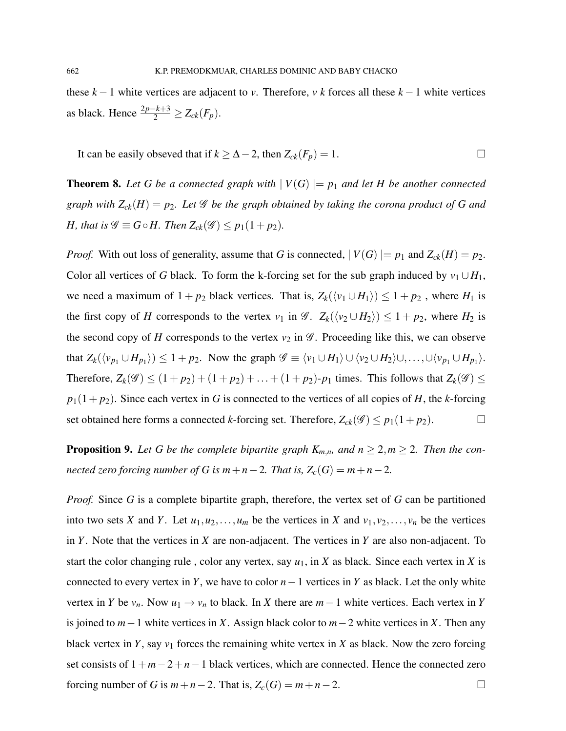these  $k-1$  white vertices are adjacent to *v*. Therefore, *v* k forces all these  $k-1$  white vertices as black. Hence  $\frac{2p-k+3}{2}$  ≥  $Z_{ck}(F_p)$ .

It can be easily obseved that if  $k \geq \Delta - 2$ , then  $Z_{ck}(F_p) = 1$ . □

**Theorem 8.** Let G be a connected graph with  $|V(G)| = p_1$  and let H be another connected *graph with*  $Z_{ck}(H) = p_2$ *. Let*  $\mathcal G$  *be the graph obtained by taking the corona product of G and H, that is*  $\mathscr{G} \equiv G \circ H$ *. Then*  $Z_{ck}(\mathscr{G}) \leq p_1(1+p_2)$ *.* 

*Proof.* With out loss of generality, assume that *G* is connected,  $|V(G)| = p_1$  and  $Z_{ck}(H) = p_2$ . Color all vertices of *G* black. To form the k-forcing set for the sub graph induced by  $v_1 \cup H_1$ , we need a maximum of  $1 + p_2$  black vertices. That is,  $Z_k(\langle v_1 \cup H_1 \rangle) \leq 1 + p_2$ , where  $H_1$  is the first copy of *H* corresponds to the vertex  $v_1$  in  $\mathscr{G}$ .  $Z_k(\langle v_2 \cup H_2 \rangle) \leq 1 + p_2$ , where  $H_2$  is the second copy of *H* corresponds to the vertex  $v_2$  in  $\mathscr G$ . Proceeding like this, we can observe that  $Z_k(\langle v_{p_1} \cup H_{p_1} \rangle) \leq 1 + p_2$ . Now the graph  $\mathscr{G} \equiv \langle v_1 \cup H_1 \rangle \cup \langle v_2 \cup H_2 \rangle \cup, \ldots, \cup \langle v_{p_1} \cup H_{p_1} \rangle$ . Therefore,  $Z_k(\mathscr{G}) \leq (1 + p_2) + (1 + p_2) + \ldots + (1 + p_2) - p_1$  times. This follows that  $Z_k(\mathscr{G}) \leq$  $p_1(1+p_2)$ . Since each vertex in *G* is connected to the vertices of all copies of *H*, the *k*-forcing set obtained here forms a connected *k*-forcing set. Therefore,  $Z_{ck}(\mathscr{G}) \leq p_1(1+p_2)$ .

**Proposition 9.** Let G be the complete bipartite graph  $K_{m,n}$ , and  $n \geq 2, m \geq 2$ . Then the con*nected zero forcing number of G is m* + *n* − 2*. That is,*  $Z_c(G) = m + n - 2$ *.* 

*Proof.* Since *G* is a complete bipartite graph, therefore, the vertex set of *G* can be partitioned into two sets *X* and *Y*. Let  $u_1, u_2, \ldots, u_m$  be the vertices in *X* and  $v_1, v_2, \ldots, v_n$  be the vertices in *Y*. Note that the vertices in *X* are non-adjacent. The vertices in *Y* are also non-adjacent. To start the color changing rule, color any vertex, say  $u_1$ , in *X* as black. Since each vertex in *X* is connected to every vertex in *Y*, we have to color  $n-1$  vertices in *Y* as black. Let the only white vertex in *Y* be  $v_n$ . Now  $u_1 \rightarrow v_n$  to black. In *X* there are  $m-1$  white vertices. Each vertex in *Y* is joined to *m*−1 white vertices in *X*. Assign black color to *m*−2 white vertices in *X*. Then any black vertex in *Y*, say  $v_1$  forces the remaining white vertex in *X* as black. Now the zero forcing set consists of 1+*m*−2+*n*−1 black vertices, which are connected. Hence the connected zero forcing number of *G* is  $m+n-2$ . That is,  $Z_c(G) = m+n-2$ .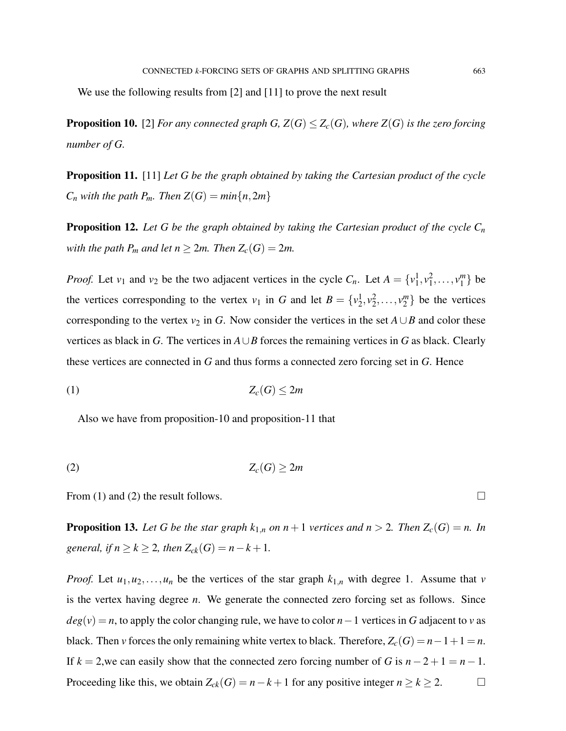We use the following results from [2] and [11] to prove the next result

**Proposition 10.** [2] *For any connected graph G,*  $Z(G) \leq Z_c(G)$ *, where*  $Z(G)$  *is the zero forcing number of G.*

Proposition 11. [11] *Let G be the graph obtained by taking the Cartesian product of the cycle*  $C_n$  *with the path P<sub>m</sub>. Then*  $Z(G) = min\{n, 2m\}$ 

**Proposition 12.** Let G be the graph obtained by taking the Cartesian product of the cycle  $C_n$ *with the path P<sub>m</sub> and let*  $n \geq 2m$ *. Then*  $Z_c(G) = 2m$ *.* 

*Proof.* Let  $v_1$  and  $v_2$  be the two adjacent vertices in the cycle  $C_n$ . Let  $A = \{v_1^1, v_1^2, \ldots, v_1^m\}$  $_1^m$ } be the vertices corresponding to the vertex  $v_1$  in *G* and let  $B = \{v_2^1, v_2^2, \dots, v_2^m\}$  $\binom{m}{2}$  be the vertices corresponding to the vertex  $v_2$  in *G*. Now consider the vertices in the set  $A \cup B$  and color these vertices as black in *G*. The vertices in  $A \cup B$  forces the remaining vertices in *G* as black. Clearly these vertices are connected in *G* and thus forms a connected zero forcing set in *G*. Hence

$$
(1) \t\t Z_c(G) \le 2m
$$

Also we have from proposition-10 and proposition-11 that

$$
(2) \t\t Zc(G) \ge 2m
$$

From (1) and (2) the result follows.  $\Box$ 

**Proposition 13.** Let G be the star graph  $k_{1,n}$  on  $n+1$  vertices and  $n > 2$ . Then  $Z_c(G) = n$ . In *general, if*  $n \ge k \ge 2$ *, then*  $Z_{ck}(G) = n - k + 1$ *.* 

*Proof.* Let  $u_1, u_2, \ldots, u_n$  be the vertices of the star graph  $k_{1,n}$  with degree 1. Assume that *v* is the vertex having degree *n*. We generate the connected zero forcing set as follows. Since  $deg(v) = n$ , to apply the color changing rule, we have to color *n*−1 vertices in *G* adjacent to *v* as black. Then *v* forces the only remaining white vertex to black. Therefore,  $Z_c(G) = n - 1 + 1 = n$ . If  $k = 2$ , we can easily show that the connected zero forcing number of *G* is  $n-2+1 = n-1$ . Proceeding like this, we obtain  $Z_{ck}(G) = n - k + 1$  for any positive integer  $n \ge k \ge 2$ .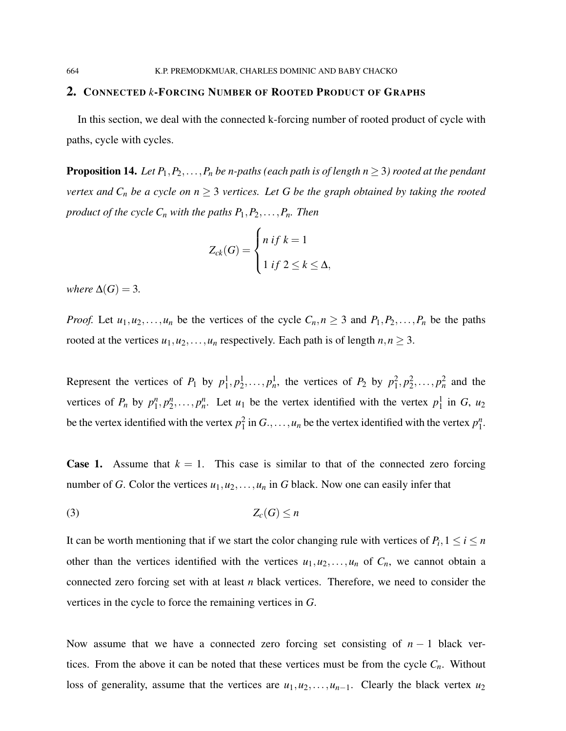#### 2. CONNECTED *k*-FORCING NUMBER OF ROOTED PRODUCT OF GRAPHS

In this section, we deal with the connected k-forcing number of rooted product of cycle with paths, cycle with cycles.

**Proposition 14.** *Let*  $P_1, P_2, \ldots, P_n$  *be n-paths (each path is of length n*  $\geq$  3) *rooted at the pendant vertex and*  $C_n$  *be a cycle on*  $n \geq 3$  *vertices. Let G be the graph obtained by taking the rooted product of the cycle*  $C_n$  *with the paths*  $P_1, P_2, \ldots, P_n$ *. Then* 

$$
Z_{ck}(G) = \begin{cases} n & \text{if } k = 1 \\ 1 & \text{if } 2 \le k \le \Delta, \end{cases}
$$

*where*  $\Delta(G) = 3$ *.* 

*Proof.* Let  $u_1, u_2, \ldots, u_n$  be the vertices of the cycle  $C_n, n \geq 3$  and  $P_1, P_2, \ldots, P_n$  be the paths rooted at the vertices  $u_1, u_2, \ldots, u_n$  respectively. Each path is of length  $n, n \geq 3$ .

Represent the vertices of  $P_1$  by  $p_1^1, p_2^1, \ldots, p_n^1$ , the vertices of  $P_2$  by  $p_1^2, p_2^2, \ldots, p_n^2$  and the vertices of  $P_n$  by  $p_1^n$  $\binom{n}{1}, p_2^n$  $n_2^n, \ldots, p_n^n$ . Let  $u_1$  be the vertex identified with the vertex  $p_1^1$  in *G*,  $u_2$ be the vertex identified with the vertex  $p_1^2$  in  $G_1, \ldots, u_n$  be the vertex identified with the vertex  $p_1^n$ n<br>1.

**Case 1.** Assume that  $k = 1$ . This case is similar to that of the connected zero forcing number of *G*. Color the vertices  $u_1, u_2, \ldots, u_n$  in *G* black. Now one can easily infer that

$$
(3) \t\t Z_c(G) \leq n
$$

It can be worth mentioning that if we start the color changing rule with vertices of  $P_i$ ,  $1 \le i \le n$ other than the vertices identified with the vertices  $u_1, u_2, \ldots, u_n$  of  $C_n$ , we cannot obtain a connected zero forcing set with at least *n* black vertices. Therefore, we need to consider the vertices in the cycle to force the remaining vertices in *G*.

Now assume that we have a connected zero forcing set consisting of *n* − 1 black vertices. From the above it can be noted that these vertices must be from the cycle  $C_n$ . Without loss of generality, assume that the vertices are  $u_1, u_2, \ldots, u_{n-1}$ . Clearly the black vertex  $u_2$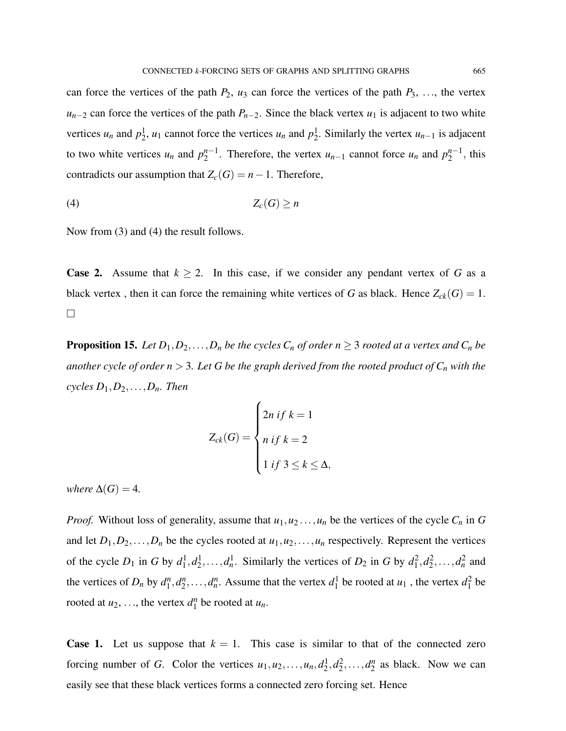can force the vertices of the path  $P_2$ ,  $u_3$  can force the vertices of the path  $P_3$ , ..., the vertex  $u_{n-2}$  can force the vertices of the path *P<sub>n−2</sub>*. Since the black vertex *u*<sub>1</sub> is adjacent to two white vertices *u<sub>n</sub>* and  $p_2^1$ , *u*<sub>1</sub> cannot force the vertices *u<sub>n</sub>* and  $p_2^1$ . Similarly the vertex *u<sub>n−1</sub>* is adjacent to two white vertices  $u_n$  and  $p_2^{n-1}$  $n-1$ . Therefore, the vertex  $u_{n-1}$  cannot force  $u_n$  and  $p_2^{n-1}$  $n-1$ , this contradicts our assumption that  $Z_c(G) = n - 1$ . Therefore,

$$
(4) \t\t Z_c(G) \geq n
$$

Now from (3) and (4) the result follows.

**Case 2.** Assume that  $k \ge 2$ . In this case, if we consider any pendant vertex of G as a black vertex, then it can force the remaining white vertices of *G* as black. Hence  $Z_{ck}(G) = 1$ .  $\Box$ 

**Proposition 15.** *Let*  $D_1, D_2, \ldots, D_n$  *be the cycles*  $C_n$  *of order*  $n \geq 3$  *rooted at a vertex and*  $C_n$  *be another cycle of order*  $n > 3$ *. Let G be the graph derived from the rooted product of*  $C_n$  *with the*  $cycles D_1, D_2, \ldots, D_n$ *. Then* 

$$
Z_{ck}(G) = \begin{cases} 2n & \text{if } k = 1 \\ n & \text{if } k = 2 \\ 1 & \text{if } 3 \le k \le \Delta, \end{cases}
$$

*where*  $\Delta(G) = 4$ *.* 

*Proof.* Without loss of generality, assume that  $u_1, u_2, \ldots, u_n$  be the vertices of the cycle  $C_n$  in  $G$ and let  $D_1, D_2, \ldots, D_n$  be the cycles rooted at  $u_1, u_2, \ldots, u_n$  respectively. Represent the vertices of the cycle  $D_1$  in *G* by  $d_1^1, d_2^1, \ldots, d_n^1$ . Similarly the vertices of  $D_2$  in *G* by  $d_1^2, d_2^2, \ldots, d_n^2$  and the vertices of  $D_n$  by  $d_1^n$  $n_1^n, d_2^n$  $a_1^{\prime\prime}, \ldots, a_n^{\prime\prime}$ . Assume that the vertex  $d_1^1$  be rooted at  $u_1$ , the vertex  $d_1^2$  be rooted at  $u_2, \ldots$ , the vertex  $d_1^n$  $\int_{1}^{n}$  be rooted at  $u_n$ .

**Case 1.** Let us suppose that  $k = 1$ . This case is similar to that of the connected zero forcing number of *G*. Color the vertices  $u_1, u_2, \ldots, u_n, d_2^1, d_2^2, \ldots, d_2^n$  $n/2$  as black. Now we can easily see that these black vertices forms a connected zero forcing set. Hence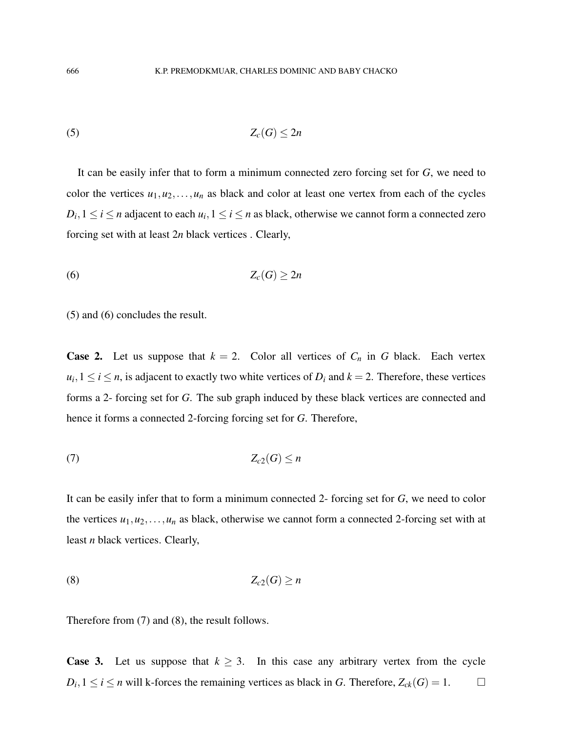$$
(5) \t\t Z_c(G) \le 2n
$$

It can be easily infer that to form a minimum connected zero forcing set for *G*, we need to color the vertices  $u_1, u_2, \ldots, u_n$  as black and color at least one vertex from each of the cycles  $D_i, 1 \leq i \leq n$  adjacent to each  $u_i, 1 \leq i \leq n$  as black, otherwise we cannot form a connected zero forcing set with at least 2*n* black vertices . Clearly,

$$
(6) \t\t Z_c(G) \geq 2n
$$

(5) and (6) concludes the result.

**Case 2.** Let us suppose that  $k = 2$ . Color all vertices of  $C_n$  in G black. Each vertex  $u_i, 1 \le i \le n$ , is adjacent to exactly two white vertices of  $D_i$  and  $k = 2$ . Therefore, these vertices forms a 2- forcing set for *G*. The sub graph induced by these black vertices are connected and hence it forms a connected 2-forcing forcing set for *G*. Therefore,

$$
(7) \t\t Z_{c2}(G) \leq n
$$

It can be easily infer that to form a minimum connected 2- forcing set for *G*, we need to color the vertices  $u_1, u_2, \ldots, u_n$  as black, otherwise we cannot form a connected 2-forcing set with at least *n* black vertices. Clearly,

$$
(8) \t\t Z_{c2}(G) \ge n
$$

Therefore from (7) and (8), the result follows.

**Case 3.** Let us suppose that  $k \geq 3$ . In this case any arbitrary vertex from the cycle  $D_i, 1 \leq i \leq n$  will k-forces the remaining vertices as black in *G*. Therefore,  $Z_{ck}(G) = 1$ .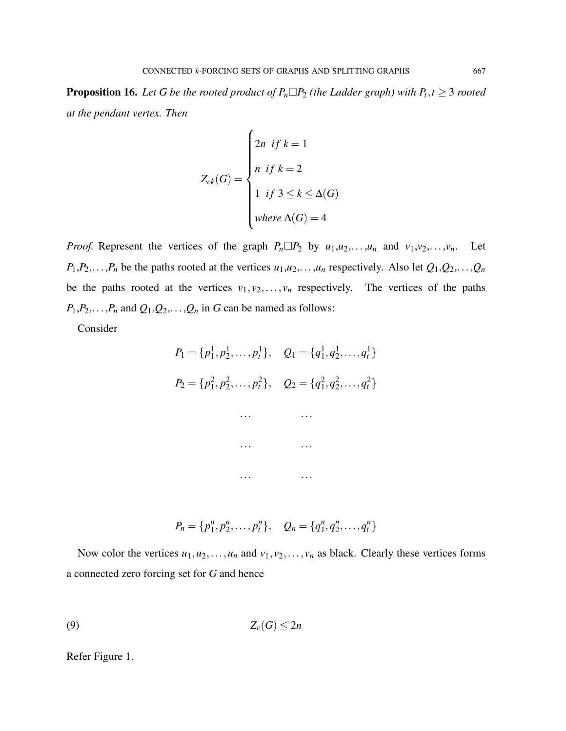**Proposition 16.** Let G be the rooted product of  $P_n \Box P_2$  (the Ladder graph) with  $P_t, t \geq 3$  rooted *at the pendant vertex. Then*

$$
Z_{ck}(G) = \begin{cases} 2n & \text{if } k = 1 \\ n & \text{if } k = 2 \\ 1 & \text{if } 3 \le k \le \Delta(G) \\ \text{where } \Delta(G) = 4 \end{cases}
$$

*Proof.* Represent the vertices of the graph  $P_n \Box P_2$  by  $u_1, u_2, \ldots, u_n$  and  $v_1, v_2, \ldots, v_n$ . Let  $P_1, P_2, \ldots, P_n$  be the paths rooted at the vertices  $u_1, u_2, \ldots, u_n$  respectively. Also let  $Q_1, Q_2, \ldots, Q_n$ be the paths rooted at the vertices  $v_1, v_2, \ldots, v_n$  respectively. The vertices of the paths  $P_1, P_2, \ldots, P_n$  and  $Q_1, Q_2, \ldots, Q_n$  in *G* can be named as follows:

Consider

$$
P_1 = \{p_1^1, p_2^1, \dots, p_t^1\}, \quad Q_1 = \{q_1^1, q_2^1, \dots, q_t^1\}
$$
\n
$$
P_2 = \{p_1^2, p_2^2, \dots, p_t^2\}, \quad Q_2 = \{q_1^2, q_2^2, \dots, q_t^2\}
$$
\n
$$
\dots \qquad \dots
$$
\n
$$
\dots \qquad \dots
$$
\n
$$
\dots \qquad \dots
$$

$$
P_n = \{p_1^n, p_2^n, \ldots, p_t^n\}, \quad Q_n = \{q_1^n, q_2^n, \ldots, q_t^n\}
$$

Now color the vertices  $u_1, u_2, \ldots, u_n$  and  $v_1, v_2, \ldots, v_n$  as black. Clearly these vertices forms a connected zero forcing set for *G* and hence

$$
(9) \t\t Z_c(G) \le 2n
$$

Refer Figure 1.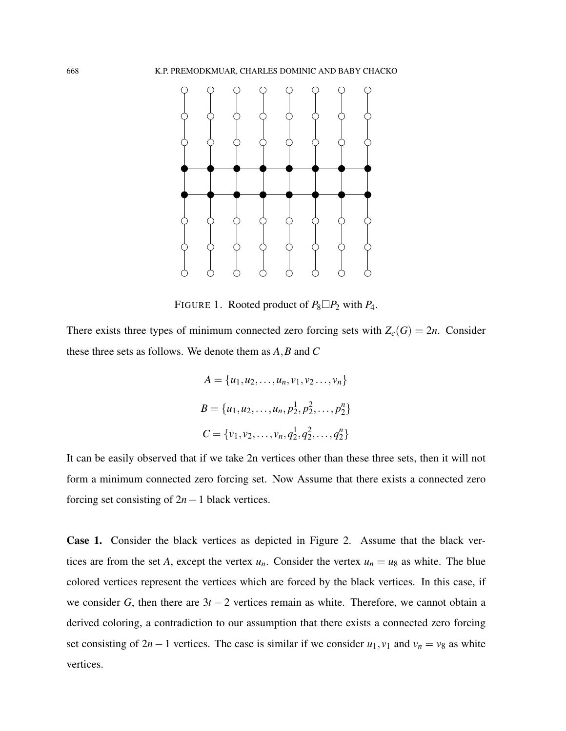

FIGURE 1. Rooted product of  $P_8 \square P_2$  with  $P_4$ .

There exists three types of minimum connected zero forcing sets with  $Z_c(G) = 2n$ . Consider these three sets as follows. We denote them as *A*,*B* and *C*

$$
A = \{u_1, u_2, \dots, u_n, v_1, v_2, \dots, v_n\}
$$
  

$$
B = \{u_1, u_2, \dots, u_n, p_2^1, p_2^2, \dots, p_2^n\}
$$
  

$$
C = \{v_1, v_2, \dots, v_n, q_2^1, q_2^2, \dots, q_2^n\}
$$

It can be easily observed that if we take 2n vertices other than these three sets, then it will not form a minimum connected zero forcing set. Now Assume that there exists a connected zero forcing set consisting of 2*n*−1 black vertices.

Case 1. Consider the black vertices as depicted in Figure 2. Assume that the black vertices are from the set *A*, except the vertex  $u_n$ . Consider the vertex  $u_n = u_8$  as white. The blue colored vertices represent the vertices which are forced by the black vertices. In this case, if we consider *G*, then there are 3*t* − 2 vertices remain as white. Therefore, we cannot obtain a derived coloring, a contradiction to our assumption that there exists a connected zero forcing set consisting of 2*n*−1 vertices. The case is similar if we consider  $u_1, v_1$  and  $v_n = v_8$  as white vertices.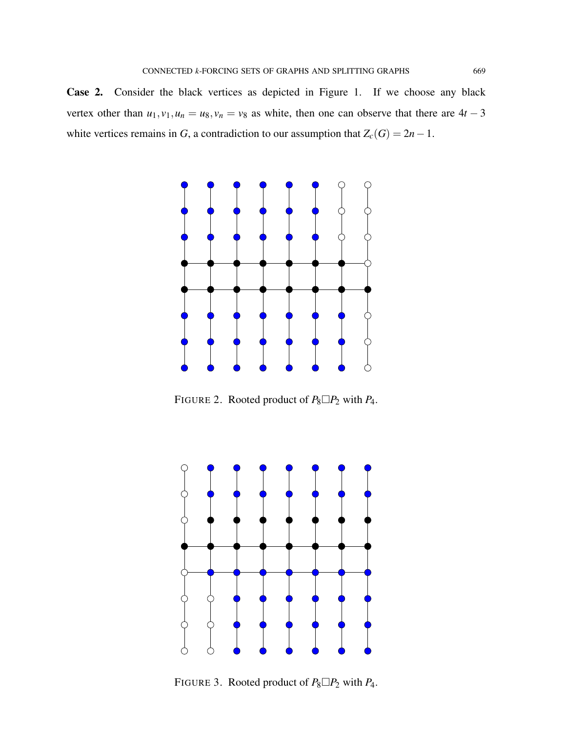Case 2. Consider the black vertices as depicted in Figure 1. If we choose any black vertex other than  $u_1$ ,  $v_1$ ,  $u_n = u_8$ ,  $v_n = v_8$  as white, then one can observe that there are  $4t - 3$ white vertices remains in *G*, a contradiction to our assumption that  $Z_c(G) = 2n - 1$ .



FIGURE 2. Rooted product of  $P_8 \square P_2$  with  $P_4$ .



FIGURE 3. Rooted product of  $P_8 \square P_2$  with  $P_4$ .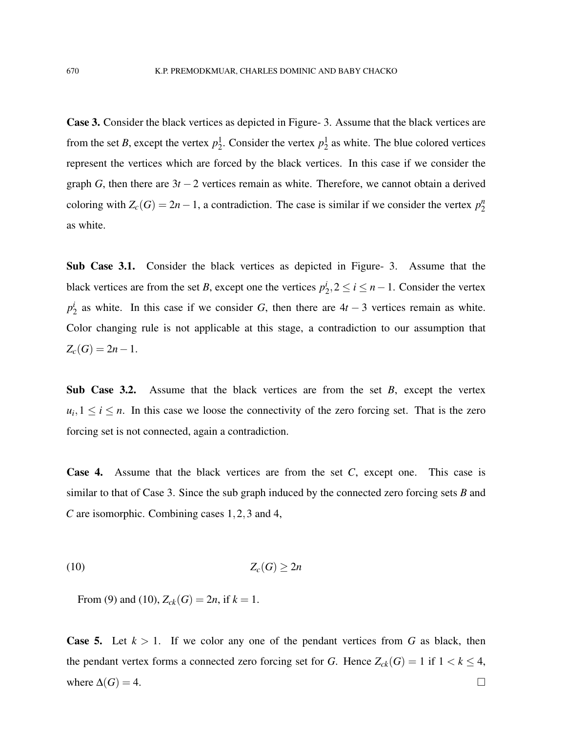Case 3. Consider the black vertices as depicted in Figure- 3. Assume that the black vertices are from the set *B*, except the vertex  $p_2^1$ . Consider the vertex  $p_2^1$  as white. The blue colored vertices represent the vertices which are forced by the black vertices. In this case if we consider the graph *G*, then there are  $3t - 2$  vertices remain as white. Therefore, we cannot obtain a derived coloring with  $Z_c(G) = 2n - 1$ , a contradiction. The case is similar if we consider the vertex  $p_2^n$ 2 as white.

Sub Case 3.1. Consider the black vertices as depicted in Figure- 3. Assume that the black vertices are from the set *B*, except one the vertices  $p_2^i$  $i_2$ , 2 ≤ *i* ≤ *n*−1. Consider the vertex *p i*  $\frac{a}{2}$  as white. In this case if we consider *G*, then there are  $4t - 3$  vertices remain as white. Color changing rule is not applicable at this stage, a contradiction to our assumption that  $Z_c(G) = 2n - 1$ .

Sub Case 3.2. Assume that the black vertices are from the set *B*, except the vertex  $u_i, 1 \leq i \leq n$ . In this case we loose the connectivity of the zero forcing set. That is the zero forcing set is not connected, again a contradiction.

Case 4. Assume that the black vertices are from the set *C*, except one. This case is similar to that of Case 3. Since the sub graph induced by the connected zero forcing sets *B* and *C* are isomorphic. Combining cases 1,2,3 and 4,

$$
(10) \t\t Z_c(G) \ge 2n
$$

From (9) and (10),  $Z_{ck}(G) = 2n$ , if  $k = 1$ .

**Case 5.** Let  $k > 1$ . If we color any one of the pendant vertices from G as black, then the pendant vertex forms a connected zero forcing set for *G*. Hence  $Z_{ck}(G) = 1$  if  $1 < k \leq 4$ , where  $\Delta(G) = 4$ .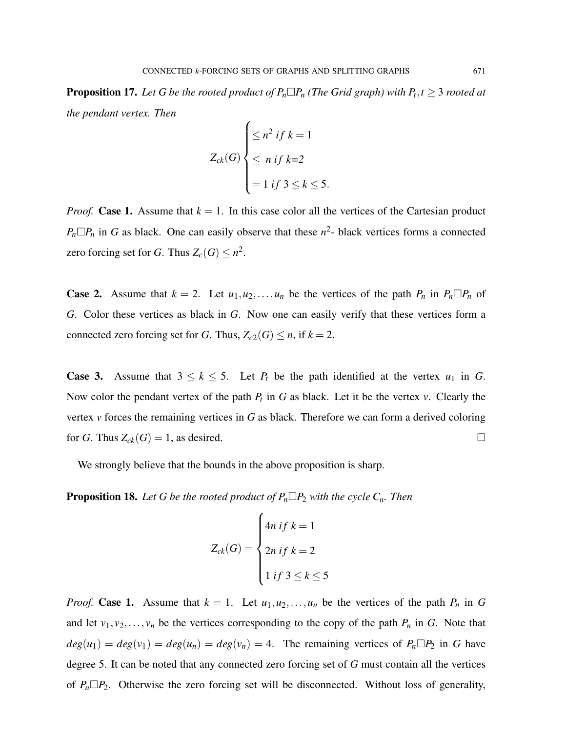**Proposition 17.** Let G be the rooted product of  $P_n \Box P_n$  (The Grid graph) with  $P_t, t \geq 3$  rooted at *the pendant vertex. Then*

$$
Z_{ck}(G) \begin{cases} \leq n^2 \text{ if } k = 1\\ \leq n \text{ if } k = 2\\ = 1 \text{ if } 3 \leq k \leq 5. \end{cases}
$$

*Proof.* Case 1. Assume that  $k = 1$ . In this case color all the vertices of the Cartesian product  $P_n \Box P_n$  in *G* as black. One can easily observe that these  $n^2$ - black vertices forms a connected zero forcing set for *G*. Thus  $Z_c(G) \leq n^2$ .

**Case 2.** Assume that  $k = 2$ . Let  $u_1, u_2, \ldots, u_n$  be the vertices of the path  $P_n$  in  $P_n \square P_n$  of *G*. Color these vertices as black in *G*. Now one can easily verify that these vertices form a connected zero forcing set for *G*. Thus,  $Z_{c2}(G) \leq n$ , if  $k = 2$ .

**Case 3.** Assume that  $3 \leq k \leq 5$ . Let  $P_t$  be the path identified at the vertex  $u_1$  in G. Now color the pendant vertex of the path  $P_t$  in  $G$  as black. Let it be the vertex  $v$ . Clearly the vertex *v* forces the remaining vertices in *G* as black. Therefore we can form a derived coloring for *G*. Thus  $Z_{ck}(G) = 1$ , as desired.

We strongly believe that the bounds in the above proposition is sharp.

**Proposition 18.** Let G be the rooted product of  $P_n \Box P_2$  with the cycle  $C_n$ . Then

$$
Z_{ck}(G) = \begin{cases} 4n & \text{if } k = 1 \\ 2n & \text{if } k = 2 \\ 1 & \text{if } 3 \le k \le 5 \end{cases}
$$

*Proof.* Case 1. Assume that  $k = 1$ . Let  $u_1, u_2, \ldots, u_n$  be the vertices of the path  $P_n$  in G and let  $v_1, v_2, \ldots, v_n$  be the vertices corresponding to the copy of the path  $P_n$  in  $G$ . Note that  $deg(u_1) = deg(v_1) = deg(u_n) = deg(v_n) = 4$ . The remaining vertices of  $P_n \Box P_2$  in G have degree 5. It can be noted that any connected zero forcing set of *G* must contain all the vertices of  $P_n \Box P_2$ . Otherwise the zero forcing set will be disconnected. Without loss of generality,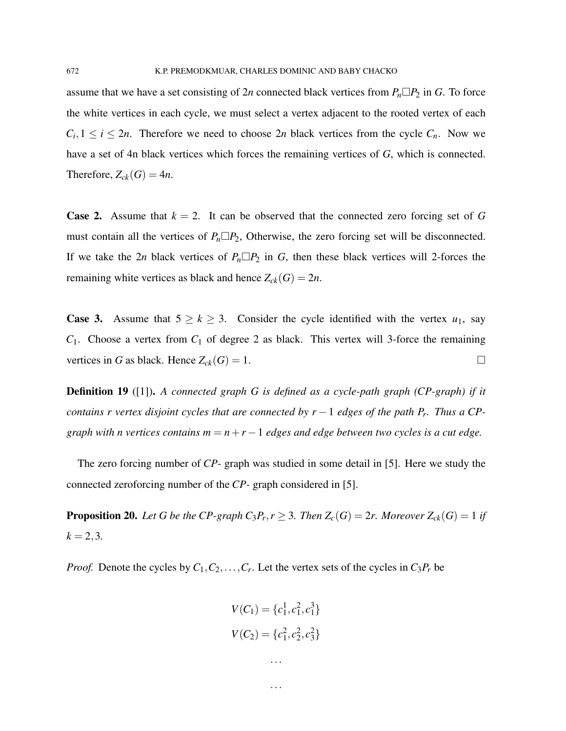assume that we have a set consisting of 2*n* connected black vertices from  $P_n \Box P_2$  in *G*. To force the white vertices in each cycle, we must select a vertex adjacent to the rooted vertex of each  $C_i, 1 \leq i \leq 2n$ . Therefore we need to choose 2*n* black vertices from the cycle  $C_n$ . Now we have a set of 4n black vertices which forces the remaining vertices of *G*, which is connected. Therefore,  $Z_{ck}(G) = 4n$ .

**Case 2.** Assume that  $k = 2$ . It can be observed that the connected zero forcing set of G must contain all the vertices of  $P_n \Box P_2$ , Otherwise, the zero forcing set will be disconnected. If we take the 2*n* black vertices of  $P_n \Box P_2$  in *G*, then these black vertices will 2-forces the remaining white vertices as black and hence  $Z_{ck}(G) = 2n$ .

**Case 3.** Assume that  $5 \ge k \ge 3$ . Consider the cycle identified with the vertex  $u_1$ , say *C*1. Choose a vertex from *C*<sup>1</sup> of degree 2 as black. This vertex will 3-force the remaining vertices in *G* as black. Hence  $Z_{ck}(G) = 1$ .

Definition 19 ([1]). *A connected graph G is defined as a cycle-path graph (CP-graph) if it contains r vertex disjoint cycles that are connected by r* − 1 *edges of the path P<sup>r</sup> . Thus a CPgraph with n vertices contains*  $m = n + r - 1$  *edges and edge between two cycles is a cut edge.* 

The zero forcing number of *CP*- graph was studied in some detail in [5]. Here we study the connected zeroforcing number of the *CP*- graph considered in [5].

**Proposition 20.** Let G be the CP-graph  $C_3P_r$ ,  $r \geq 3$ . Then  $Z_c(G) = 2r$ . Moreover  $Z_{ck}(G) = 1$  if  $k = 2, 3.$ 

*Proof.* Denote the cycles by  $C_1, C_2, \ldots, C_r$ . Let the vertex sets of the cycles in  $C_3P_r$  be

$$
V(C_1) = \{c_1^1, c_1^2, c_1^3\}
$$

$$
V(C_2) = \{c_1^2, c_2^2, c_3^2\}
$$

...

...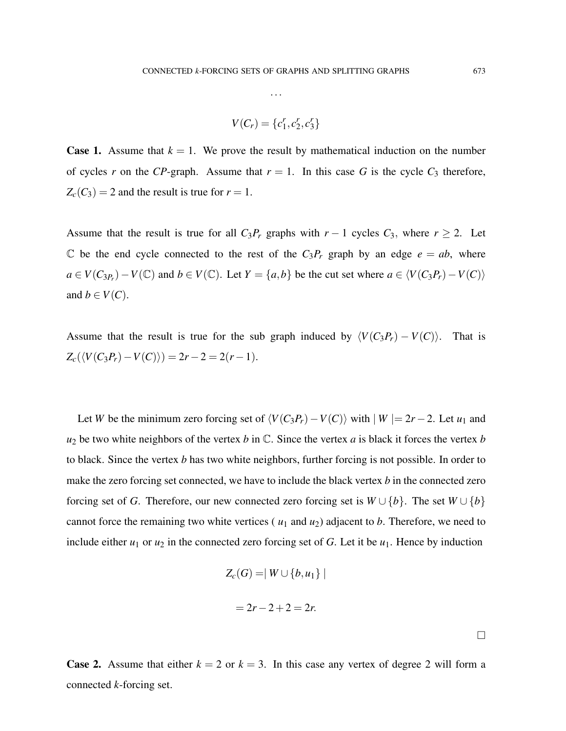...

$$
V(C_r) = \{c_1^r, c_2^r, c_3^r\}
$$

**Case 1.** Assume that  $k = 1$ . We prove the result by mathematical induction on the number of cycles *r* on the *CP*-graph. Assume that  $r = 1$ . In this case *G* is the cycle  $C_3$  therefore,  $Z_c(C_3) = 2$  and the result is true for  $r = 1$ .

Assume that the result is true for all  $C_3P_r$  graphs with  $r-1$  cycles  $C_3$ , where  $r \geq 2$ . Let C be the end cycle connected to the rest of the  $C_3P_r$  graph by an edge  $e = ab$ , where *a* ∈ *V*(*C*<sub>3*Pr*</sub>) − *V*(*C*) and *b* ∈ *V*(*C*). Let *Y* = {*a*,*b*} be the cut set where *a* ∈  $\langle V(C_3 P_r) - V(C) \rangle$ and  $b \in V(C)$ .

Assume that the result is true for the sub graph induced by  $\langle V(C_3P_r) - V(C) \rangle$ . That is  $Z_c(\langle V(C_3P_r) - V(C) \rangle) = 2r - 2 = 2(r - 1).$ 

Let *W* be the minimum zero forcing set of  $\langle V(C_3P_r) - V(C) \rangle$  with  $|W| = 2r - 2$ . Let  $u_1$  and  $u_2$  be two white neighbors of the vertex *b* in  $\mathbb{C}$ . Since the vertex *a* is black it forces the vertex *b* to black. Since the vertex *b* has two white neighbors, further forcing is not possible. In order to make the zero forcing set connected, we have to include the black vertex *b* in the connected zero forcing set of *G*. Therefore, our new connected zero forcing set is  $W \cup \{b\}$ . The set  $W \cup \{b\}$ cannot force the remaining two white vertices ( $u_1$  and  $u_2$ ) adjacent to *b*. Therefore, we need to include either  $u_1$  or  $u_2$  in the connected zero forcing set of *G*. Let it be  $u_1$ . Hence by induction

$$
Z_c(G) = |W \cup \{b, u_1\}|
$$
  
= 2r - 2 + 2 = 2r.

**Case 2.** Assume that either  $k = 2$  or  $k = 3$ . In this case any vertex of degree 2 will form a connected *k*-forcing set.

 $\Box$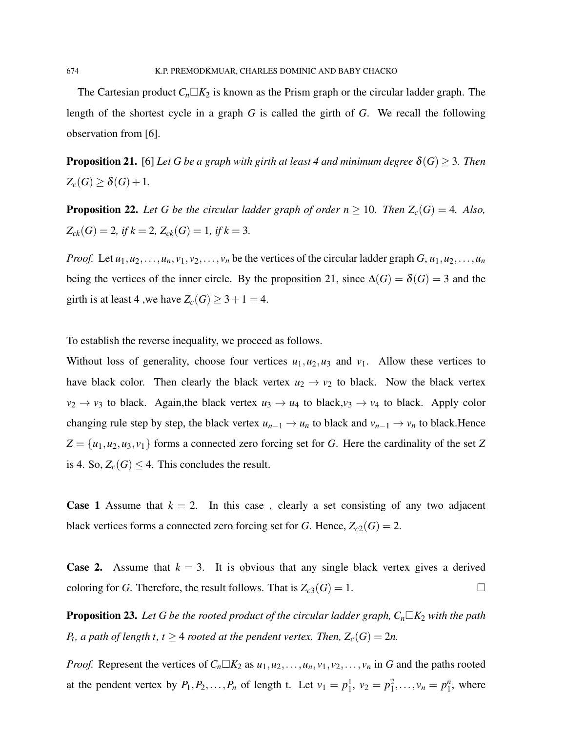The Cartesian product  $C_n \Box K_2$  is known as the Prism graph or the circular ladder graph. The length of the shortest cycle in a graph *G* is called the girth of *G*. We recall the following observation from [6].

**Proposition 21.** [6] Let G be a graph with girth at least 4 and minimum degree  $\delta(G) > 3$ . Then  $Z_c(G) \geq \delta(G) + 1$ .

**Proposition 22.** Let G be the circular ladder graph of order  $n \ge 10$ . Then  $Z_c(G) = 4$ . Also,  $Z_{ck}(G) = 2$ , if  $k = 2$ ,  $Z_{ck}(G) = 1$ , if  $k = 3$ .

*Proof.* Let  $u_1, u_2, \ldots, u_n, v_1, v_2, \ldots, v_n$  be the vertices of the circular ladder graph  $G, u_1, u_2, \ldots, u_n$ being the vertices of the inner circle. By the proposition 21, since  $\Delta(G) = \delta(G) = 3$  and the girth is at least 4, we have  $Z_c(G) \geq 3 + 1 = 4$ .

To establish the reverse inequality, we proceed as follows.

Without loss of generality, choose four vertices  $u_1, u_2, u_3$  and  $v_1$ . Allow these vertices to have black color. Then clearly the black vertex  $u_2 \rightarrow v_2$  to black. Now the black vertex  $v_2 \rightarrow v_3$  to black. Again, the black vertex  $u_3 \rightarrow u_4$  to black,  $v_3 \rightarrow v_4$  to black. Apply color changing rule step by step, the black vertex  $u_{n-1} \to u_n$  to black and  $v_{n-1} \to v_n$  to black.Hence  $Z = \{u_1, u_2, u_3, v_1\}$  forms a connected zero forcing set for *G*. Here the cardinality of the set *Z* is 4. So,  $Z_c(G) \leq 4$ . This concludes the result.

**Case 1** Assume that  $k = 2$ . In this case, clearly a set consisting of any two adjacent black vertices forms a connected zero forcing set for *G*. Hence,  $Z_{c2}(G) = 2$ .

**Case 2.** Assume that  $k = 3$ . It is obvious that any single black vertex gives a derived coloring for *G*. Therefore, the result follows. That is  $Z_{c3}(G) = 1$ .

**Proposition 23.** Let G be the rooted product of the circular ladder graph,  $C_n \Box K_2$  with the path *P*<sub>t</sub>, a path of length t, t  $\geq$  4 *rooted at the pendent vertex. Then,*  $Z_c(G) = 2n$ .

*Proof.* Represent the vertices of  $C_n \Box K_2$  as  $u_1, u_2, \ldots, u_n, v_1, v_2, \ldots, v_n$  in *G* and the paths rooted at the pendent vertex by  $P_1, P_2, ..., P_n$  of length t. Let  $v_1 = p_1^1, v_2 = p_1^2, ..., v_n = p_1^n$  $\frac{n}{1}$ , where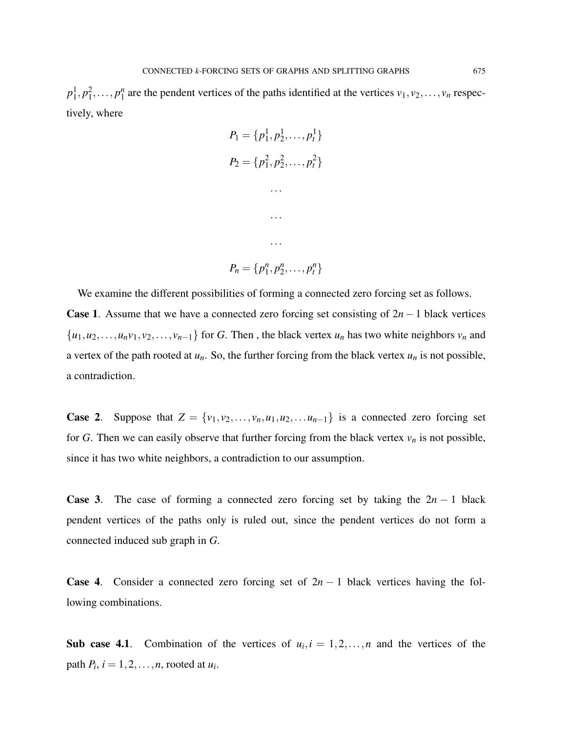$p_1^1, p_1^2, \ldots, p_1^n$  $\frac{n}{1}$  are the pendent vertices of the paths identified at the vertices  $v_1, v_2, \ldots, v_n$  respectively, where

| $P_1 = \{p_1^1, p_2^1, \ldots, p_t^1\}$ |
|-----------------------------------------|
| $P_2 = \{p_1^2, p_2^2, \ldots, p_t^2\}$ |
|                                         |
|                                         |
|                                         |
| $P_n = \{p_1^n, p_2^n, \ldots, p_t^n\}$ |

We examine the different possibilities of forming a connected zero forcing set as follows. Case 1. Assume that we have a connected zero forcing set consisting of 2*n*−1 black vertices  $\{u_1, u_2, \ldots, u_n v_1, v_2, \ldots, v_{n-1}\}$  for *G*. Then, the black vertex  $u_n$  has two white neighbors  $v_n$  and a vertex of the path rooted at  $u_n$ . So, the further forcing from the black vertex  $u_n$  is not possible, a contradiction.

**Case 2.** Suppose that  $Z = \{v_1, v_2, \ldots, v_n, u_1, u_2, \ldots, u_{n-1}\}$  is a connected zero forcing set for *G*. Then we can easily observe that further forcing from the black vertex  $v_n$  is not possible, since it has two white neighbors, a contradiction to our assumption.

**Case 3.** The case of forming a connected zero forcing set by taking the  $2n - 1$  black pendent vertices of the paths only is ruled out, since the pendent vertices do not form a connected induced sub graph in *G*.

**Case 4.** Consider a connected zero forcing set of  $2n - 1$  black vertices having the following combinations.

Sub case 4.1. Combination of the vertices of  $u_i$ ,  $i = 1, 2, ..., n$  and the vertices of the path  $P_i$ ,  $i = 1, 2, \ldots, n$ , rooted at  $u_i$ .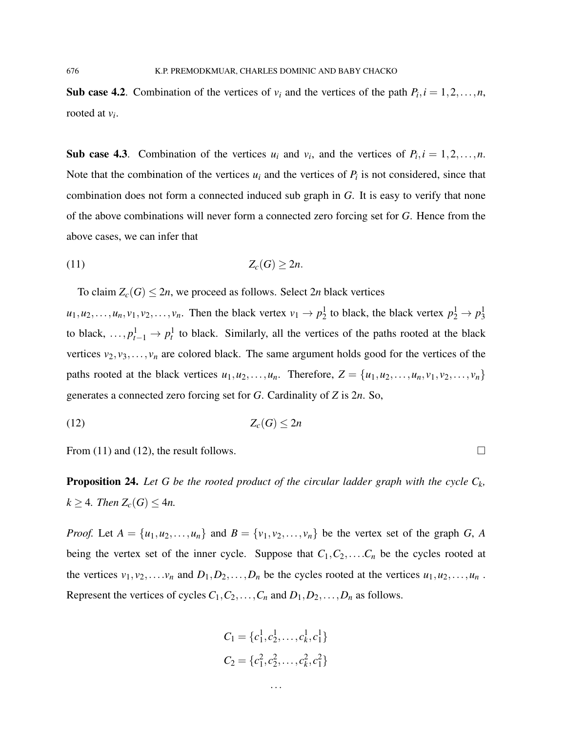Sub case 4.2. Combination of the vertices of  $v_i$  and the vertices of the path  $P_i$ ,  $i = 1, 2, ..., n$ , rooted at *v<sup>i</sup>* .

Sub case 4.3. Combination of the vertices  $u_i$  and  $v_i$ , and the vertices of  $P_i$ ,  $i = 1, 2, ..., n$ . Note that the combination of the vertices  $u_i$  and the vertices of  $P_i$  is not considered, since that combination does not form a connected induced sub graph in *G*. It is easy to verify that none of the above combinations will never form a connected zero forcing set for *G*. Hence from the above cases, we can infer that

$$
(11) \t\t Z_c(G) \geq 2n.
$$

To claim  $Z_c(G) \leq 2n$ , we proceed as follows. Select 2*n* black vertices

 $u_1, u_2, \ldots, u_n, v_1, v_2, \ldots, v_n$ . Then the black vertex  $v_1 \to p_2^1$  to black, the black vertex  $p_2^1 \to p_3^1$ to black,  $\dots$ ,  $p_{t-1}^1 \rightarrow p_t^1$  to black. Similarly, all the vertices of the paths rooted at the black vertices  $v_2, v_3, \ldots, v_n$  are colored black. The same argument holds good for the vertices of the paths rooted at the black vertices  $u_1, u_2, \ldots, u_n$ . Therefore,  $Z = \{u_1, u_2, \ldots, u_n, v_1, v_2, \ldots, v_n\}$ generates a connected zero forcing set for *G*. Cardinality of *Z* is 2*n*. So,

$$
(12) \t\t Z_c(G) \le 2n
$$

From (11) and (12), the result follows.

**Proposition 24.** Let G be the rooted product of the circular ladder graph with the cycle  $C_k$ ,  $k \geq 4$ *. Then*  $Z_c(G) \leq 4n$ .

*Proof.* Let  $A = \{u_1, u_2, \ldots, u_n\}$  and  $B = \{v_1, v_2, \ldots, v_n\}$  be the vertex set of the graph *G*, *A* being the vertex set of the inner cycle. Suppose that  $C_1, C_2, \ldots, C_n$  be the cycles rooted at the vertices  $v_1, v_2, \ldots, v_n$  and  $D_1, D_2, \ldots, D_n$  be the cycles rooted at the vertices  $u_1, u_2, \ldots, u_n$ . Represent the vertices of cycles  $C_1, C_2, \ldots, C_n$  and  $D_1, D_2, \ldots, D_n$  as follows.

$$
C_1 = \{c_1^1, c_2^1, \dots, c_k^1, c_1^1\}
$$
  

$$
C_2 = \{c_1^2, c_2^2, \dots, c_k^2, c_1^2\}
$$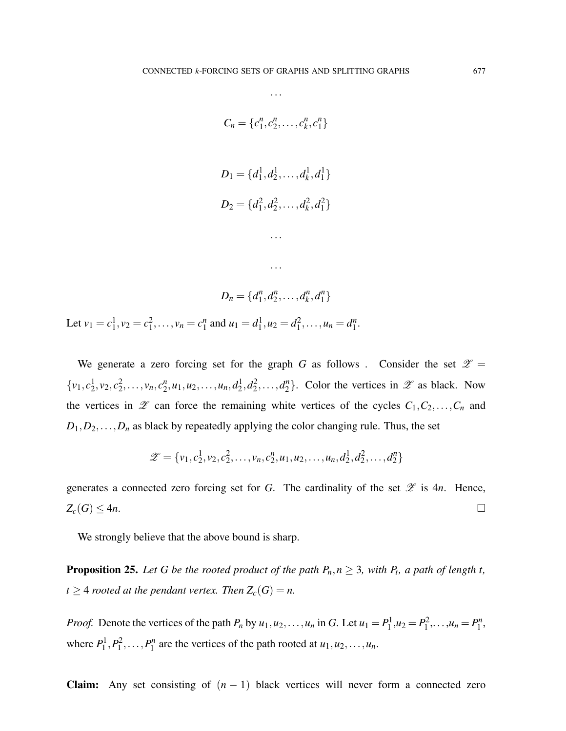...

$$
C_n = \{c_1^n, c_2^n, \dots, c_k^n, c_1^n\}
$$
  

$$
D_1 = \{d_1^1, d_2^1, \dots, d_k^1, d_1^1\}
$$
  

$$
D_2 = \{d_1^2, d_2^2, \dots, d_k^2, d_1^2\}
$$
  

$$
\dots
$$

 $n_1^n, d_2^n$ 

 $a_1^n, \ldots, a_k^n$ 

 $\binom{n}{k}$ ,  $d_1^n$  $\begin{smallmatrix} n \\ 1 \end{smallmatrix}$ 

Let  $v_1 = c_1^1, v_2 = c_1^2, \ldots, v_n = c_1^n$  $u_1^n$  and  $u_1 = d_1^1, u_2 = d_1^2, \dots, u_n = d_1^n$  $\frac{n}{1}$ .

 $D_n = \{d_1^n\}$ 

We generate a zero forcing set for the graph *G* as follows . Consider the set  $\mathscr{Z} =$  $\{v_1, c_2^1, v_2, c_2^2, \ldots, v_n, c_2^n\}$  $a_2^n, u_1, u_2, \ldots, u_n, d_2^1, d_2^2, \ldots, d_2^n$  $\{2\}$ . Color the vertices in  $\mathscr Z$  as black. Now the vertices in  $\mathscr{Z}$  can force the remaining white vertices of the cycles  $C_1, C_2, \ldots, C_n$  and  $D_1, D_2, \ldots, D_n$  as black by repeatedly applying the color changing rule. Thus, the set

$$
\mathscr{Z} = \{v_1, c_2^1, v_2, c_2^2, \dots, v_n, c_2^n, u_1, u_2, \dots, u_n, d_2^1, d_2^2, \dots, d_2^n\}
$$

generates a connected zero forcing set for *G*. The cardinality of the set  $\mathscr Z$  is 4*n*. Hence,  $Z_c(G) \leq 4n$ .

We strongly believe that the above bound is sharp.

**Proposition 25.** Let G be the rooted product of the path  $P_n, n \geq 3$ , with  $P_t$ , a path of length t, *t*  $\geq$  4 *rooted at the pendant vertex. Then*  $Z_c(G) = n$ .

*Proof.* Denote the vertices of the path  $P_n$  by  $u_1, u_2, \ldots, u_n$  in *G*. Let  $u_1 = P_1^1, u_2 = P_1^2, \ldots, u_n = P_1^n$  $\frac{n}{1}$ , where  $P_1^1, P_1^2, \ldots, P_1^n$  $u_1^n$  are the vertices of the path rooted at  $u_1, u_2, \ldots, u_n$ .

**Claim:** Any set consisting of  $(n - 1)$  black vertices will never form a connected zero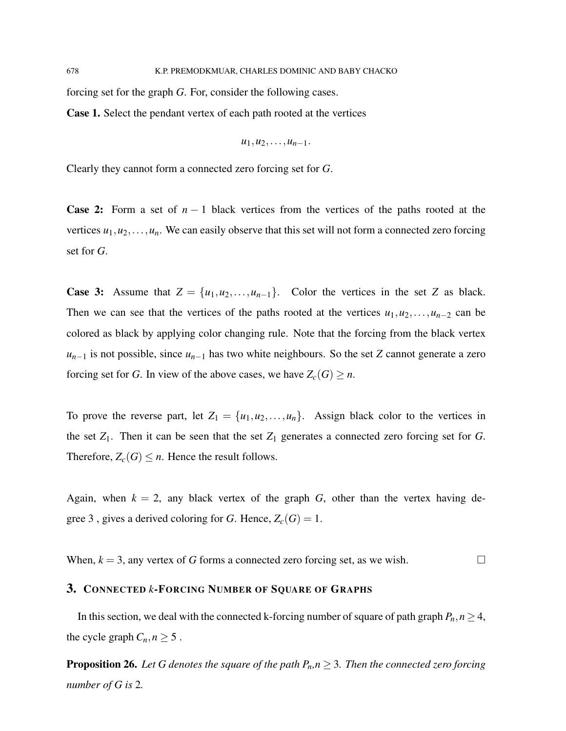forcing set for the graph *G*. For, consider the following cases.

Case 1. Select the pendant vertex of each path rooted at the vertices

$$
u_1, u_2, \ldots, u_{n-1}.
$$

Clearly they cannot form a connected zero forcing set for *G*.

**Case 2:** Form a set of  $n-1$  black vertices from the vertices of the paths rooted at the vertices  $u_1, u_2, \ldots, u_n$ . We can easily observe that this set will not form a connected zero forcing set for *G*.

**Case 3:** Assume that  $Z = \{u_1, u_2, \ldots, u_{n-1}\}$ . Color the vertices in the set *Z* as black. Then we can see that the vertices of the paths rooted at the vertices  $u_1, u_2, \ldots, u_{n-2}$  can be colored as black by applying color changing rule. Note that the forcing from the black vertex *u*<sub>*n*−1</sub> is not possible, since *u*<sub>*n*−1</sub> has two white neighbours. So the set *Z* cannot generate a zero forcing set for *G*. In view of the above cases, we have  $Z_c(G) \geq n$ .

To prove the reverse part, let  $Z_1 = \{u_1, u_2, \ldots, u_n\}$ . Assign black color to the vertices in the set  $Z_1$ . Then it can be seen that the set  $Z_1$  generates a connected zero forcing set for  $G$ . Therefore,  $Z_c(G) \leq n$ . Hence the result follows.

Again, when  $k = 2$ , any black vertex of the graph *G*, other than the vertex having degree 3, gives a derived coloring for *G*. Hence,  $Z_c(G) = 1$ .

When,  $k = 3$ , any vertex of *G* forms a connected zero forcing set, as we wish.

# 3. CONNECTED *k*-FORCING NUMBER OF SQUARE OF GRAPHS

In this section, we deal with the connected k-forcing number of square of path graph  $P_n$ ,  $n \geq 4$ , the cycle graph  $C_n, n \geq 5$ .

**Proposition 26.** Let G denotes the square of the path  $P_n, n \geq 3$ . Then the connected zero forcing *number of G is* 2*.*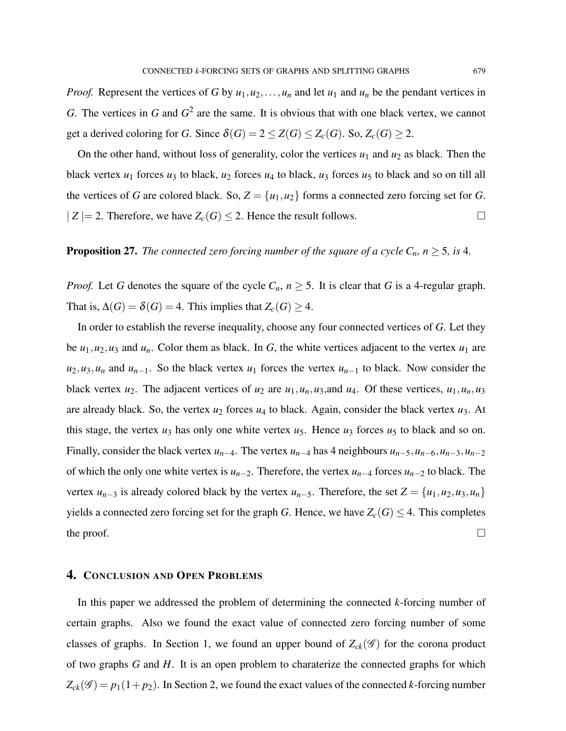*Proof.* Represent the vertices of *G* by  $u_1, u_2, \ldots, u_n$  and let  $u_1$  and  $u_n$  be the pendant vertices in *G*. The vertices in *G* and  $G^2$  are the same. It is obvious that with one black vertex, we cannot get a derived coloring for *G*. Since  $\delta(G) = 2 \le Z(G) \le Z_c(G)$ . So,  $Z_c(G) \ge 2$ .

On the other hand, without loss of generality, color the vertices  $u_1$  and  $u_2$  as black. Then the black vertex  $u_1$  forces  $u_3$  to black,  $u_2$  forces  $u_4$  to black,  $u_3$  forces  $u_5$  to black and so on till all the vertices of *G* are colored black. So,  $Z = \{u_1, u_2\}$  forms a connected zero forcing set for *G*.  $|Z| = 2$ . Therefore, we have  $Z_c(G) \leq 2$ . Hence the result follows.

### **Proposition 27.** *The connected zero forcing number of the square of a cycle*  $C_n$ *, n*  $\geq$  5*, is* 4*.*

*Proof.* Let *G* denotes the square of the cycle  $C_n$ ,  $n \geq 5$ . It is clear that *G* is a 4-regular graph. That is,  $\Delta(G) = \delta(G) = 4$ . This implies that  $Z_c(G) \geq 4$ .

In order to establish the reverse inequality, choose any four connected vertices of *G*. Let they be  $u_1, u_2, u_3$  and  $u_n$ . Color them as black. In *G*, the white vertices adjacent to the vertex  $u_1$  are  $u_2, u_3, u_n$  and  $u_{n-1}$ . So the black vertex  $u_1$  forces the vertex  $u_{n-1}$  to black. Now consider the black vertex  $u_2$ . The adjacent vertices of  $u_2$  are  $u_1, u_n, u_3$ , and  $u_4$ . Of these vertices,  $u_1, u_n, u_3$ are already black. So, the vertex  $u_2$  forces  $u_4$  to black. Again, consider the black vertex  $u_3$ . At this stage, the vertex  $u_3$  has only one white vertex  $u_5$ . Hence  $u_3$  forces  $u_5$  to black and so on. Finally, consider the black vertex  $u_{n-4}$ . The vertex  $u_{n-4}$  has 4 neighbours  $u_{n-5}$ ,  $u_{n-6}$ ,  $u_{n-3}$ ,  $u_{n-2}$ of which the only one white vertex is  $u_{n-2}$ . Therefore, the vertex  $u_{n-4}$  forces  $u_{n-2}$  to black. The vertex *u*<sub>*n*−3</sub> is already colored black by the vertex *u*<sub>*n*−5</sub>. Therefore, the set  $Z = \{u_1, u_2, u_3, u_n\}$ yields a connected zero forcing set for the graph *G*. Hence, we have  $Z_c(G) \leq 4$ . This completes the proof.  $\Box$ 

#### 4. CONCLUSION AND OPEN PROBLEMS

In this paper we addressed the problem of determining the connected *k*-forcing number of certain graphs. Also we found the exact value of connected zero forcing number of some classes of graphs. In Section 1, we found an upper bound of  $Z_{ck}(\mathscr{G})$  for the corona product of two graphs *G* and *H*. It is an open problem to charaterize the connected graphs for which  $Z_{ck}(\mathscr{G}) = p_1(1+p_2)$ . In Section 2, we found the exact values of the connected *k*-forcing number